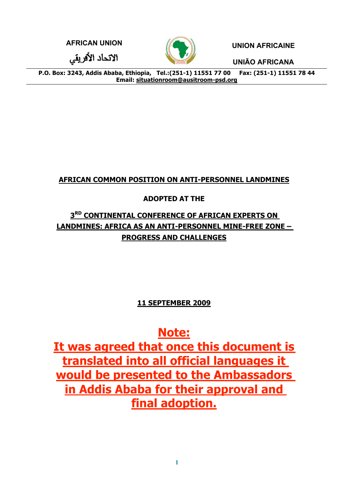**AFRICAN UNION UNION AFRICAINE**

الاتحاد الأفريقي



**UNIÃO AFRICANA**

**P.O. Box: 3243, Addis Ababa, Ethiopia, Tel.:(251-1) 11551 77 00 Fax: (251-1) 11551 78 44 Email: situationroom@ausitroom-psd.org** 

# **AFRICAN COMMON POSITION ON ANTI-PERSONNEL LANDMINES**

## **ADOPTED AT THE**

# **3RD CONTINENTAL CONFERENCE OF AFRICAN EXPERTS ON LANDMINES: AFRICA AS AN ANTI-PERSONNEL MINE-FREE ZONE – PROGRESS AND CHALLENGES**

## **11 SEPTEMBER 2009**

# **Note:**

**It was agreed that once this document is translated into all official languages it would be presented to the Ambassadors in Addis Ababa for their approval and final adoption.**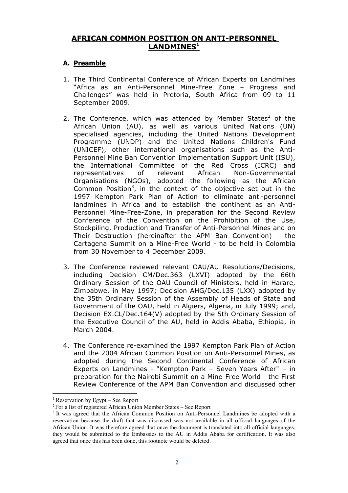### **AFRICAN COMMON POSITION ON ANTI-PERSONNEL**  LANDMINES<sup>1</sup>

#### **A. Preamble**

- 1. The Third Continental Conference of African Experts on Landmines "Africa as an Anti-Personnel Mine-Free Zone – Progress and Challenges" was held in Pretoria, South Africa from 09 to 11 September 2009.
- 2. The Conference, which was attended by Member States<sup>2</sup> of the African Union (AU), as well as various United Nations (UN) specialised agencies, including the United Nations Development Programme (UNDP) and the United Nations Children's Fund (UNICEF), other international organisations such as the Anti-Personnel Mine Ban Convention Implementation Support Unit (ISU), the International Committee of the Red Cross (ICRC) and representatives of relevant African Non-Governmental Organisations (NGOs), adopted the following as the African Common Position<sup>3</sup>, in the context of the objective set out in the 1997 Kempton Park Plan of Action to eliminate anti-personnel landmines in Africa and to establish the continent as an Anti-Personnel Mine-Free-Zone, in preparation for the Second Review Conference of the Convention on the Prohibition of the Use, Stockpiling, Production and Transfer of Anti-Personnel Mines and on Their Destruction (hereinafter the APM Ban Convention) - the Cartagena Summit on a Mine-Free World - to be held in Colombia from 30 November to 4 December 2009.
- 3. The Conference reviewed relevant OAU/AU Resolutions/Decisions, including Decision CM/Dec.363 (LXVI) adopted by the 66th Ordinary Session of the OAU Council of Ministers, held in Harare, Zimbabwe, in May 1997; Decision AHG/Dec.135 (LXX) adopted by the 35th Ordinary Session of the Assembly of Heads of State and Government of the OAU, held in Algiers, Algeria, in July 1999; and, Decision EX.CL/Dec.164(V) adopted by the 5th Ordinary Session of the Executive Council of the AU, held in Addis Ababa, Ethiopia, in March 2004.
- 4. The Conference re-examined the 1997 Kempton Park Plan of Action and the 2004 African Common Position on Anti-Personnel Mines, as adopted during the Second Continental Conference of African Experts on Landmines - "Kempton Park – Seven Years After" – in preparation for the Nairobi Summit on a Mine-Free World - the First Review Conference of the APM Ban Convention and discussed other

<sup>|&</sup>lt;br>|<br>| <sup>1</sup> Reservation by Egypt – See Report

<sup>2</sup> For a list of registered African Union Member States – See Report

<sup>&</sup>lt;sup>3</sup> It was agreed that the African Common Position on Anti-Personnel Landmines be adopted with a reservation because the draft that was discussed was not available in all official languages of the African Union. It was therefore agreed that once the document is translated into all official languages, they would be submitted to the Embassies to the AU in Addis Ababa for certification. It was also agreed that once this has been done, this footnote would be deleted.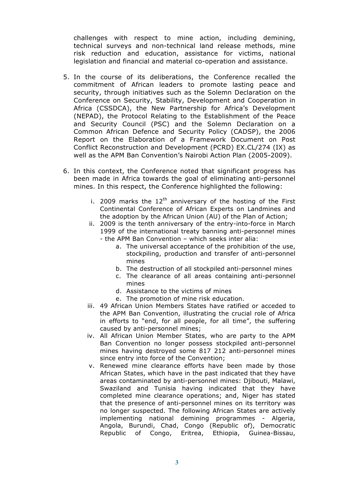challenges with respect to mine action, including demining, technical surveys and non-technical land release methods, mine risk reduction and education, assistance for victims, national legislation and financial and material co-operation and assistance.

- 5. In the course of its deliberations, the Conference recalled the commitment of African leaders to promote lasting peace and security, through initiatives such as the Solemn Declaration on the Conference on Security, Stability, Development and Cooperation in Africa (CSSDCA), the New Partnership for Africa's Development (NEPAD), the Protocol Relating to the Establishment of the Peace and Security Council (PSC) and the Solemn Declaration on a Common African Defence and Security Policy (CADSP), the 2006 Report on the Elaboration of a Framework Document on Post Conflict Reconstruction and Development (PCRD) EX.CL/274 (IX) as well as the APM Ban Convention's Nairobi Action Plan (2005-2009).
- 6. In this context, the Conference noted that significant progress has been made in Africa towards the goal of eliminating anti-personnel mines. In this respect, the Conference highlighted the following:
	- i. 2009 marks the  $12<sup>th</sup>$  anniversary of the hosting of the First Continental Conference of African Experts on Landmines and the adoption by the African Union (AU) of the Plan of Action;
	- ii. 2009 is the tenth anniversary of the entry-into-force in March 1999 of the international treaty banning anti-personnel mines - the APM Ban Convention – which seeks inter alia:
		- a. The universal acceptance of the prohibition of the use, stockpiling, production and transfer of anti-personnel mines
		- b. The destruction of all stockpiled anti-personnel mines
		- c. The clearance of all areas containing anti-personnel mines
		- d. Assistance to the victims of mines
		- e. The promotion of mine risk education.
	- iii. 49 African Union Members States have ratified or acceded to the APM Ban Convention, illustrating the crucial role of Africa in efforts to "end, for all people, for all time", the suffering caused by anti-personnel mines;
	- iv. All African Union Member States, who are party to the APM Ban Convention no longer possess stockpiled anti-personnel mines having destroyed some 817 212 anti-personnel mines since entry into force of the Convention;
	- v. Renewed mine clearance efforts have been made by those African States, which have in the past indicated that they have areas contaminated by anti-personnel mines: Djibouti, Malawi, Swaziland and Tunisia having indicated that they have completed mine clearance operations; and, Niger has stated that the presence of anti-personnel mines on its territory was no longer suspected. The following African States are actively implementing national demining programmes - Algeria, Angola, Burundi, Chad, Congo (Republic of), Democratic Republic of Congo, Eritrea, Ethiopia, Guinea-Bissau,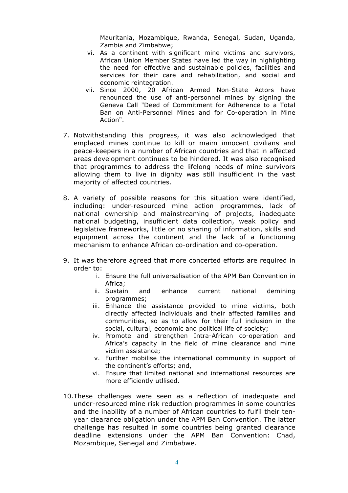Mauritania, Mozambique, Rwanda, Senegal, Sudan, Uganda, Zambia and Zimbabwe;

- vi. As a continent with significant mine victims and survivors, African Union Member States have led the way in highlighting the need for effective and sustainable policies, facilities and services for their care and rehabilitation, and social and economic reintegration.
- vii. Since 2000, 20 African Armed Non-State Actors have renounced the use of anti-personnel mines by signing the Geneva Call "Deed of Commitment for Adherence to a Total Ban on Anti-Personnel Mines and for Co-operation in Mine Action".
- 7. Notwithstanding this progress, it was also acknowledged that emplaced mines continue to kill or maim innocent civilians and peace-keepers in a number of African countries and that in affected areas development continues to be hindered. It was also recognised that programmes to address the lifelong needs of mine survivors allowing them to live in dignity was still insufficient in the vast majority of affected countries.
- 8. A variety of possible reasons for this situation were identified, including: under-resourced mine action programmes, lack of national ownership and mainstreaming of projects, inadequate national budgeting, insufficient data collection, weak policy and legislative frameworks, little or no sharing of information, skills and equipment across the continent and the lack of a functioning mechanism to enhance African co-ordination and co-operation.
- 9. It was therefore agreed that more concerted efforts are required in order to:
	- i. Ensure the full universalisation of the APM Ban Convention in Africa;
	- ii. Sustain and enhance current national demining programmes;
	- iii. Enhance the assistance provided to mine victims, both directly affected individuals and their affected families and communities, so as to allow for their full inclusion in the social, cultural, economic and political life of society;
	- iv. Promote and strengthen Intra-African co-operation and Africa's capacity in the field of mine clearance and mine victim assistance;
	- v. Further mobilise the international community in support of the continent's efforts; and,
	- vi. Ensure that limited national and international resources are more efficiently utllised.
- 10.These challenges were seen as a reflection of inadequate and under-resourced mine risk reduction programmes in some countries and the inability of a number of African countries to fulfil their tenyear clearance obligation under the APM Ban Convention. The latter challenge has resulted in some countries being granted clearance deadline extensions under the APM Ban Convention: Chad, Mozambique, Senegal and Zimbabwe.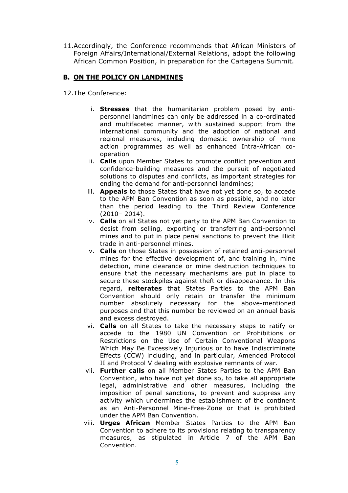11.Accordingly, the Conference recommends that African Ministers of Foreign Affairs/International/External Relations, adopt the following African Common Position, in preparation for the Cartagena Summit.

#### **B. ON THE POLICY ON LANDMINES**

12.The Conference:

- i. **Stresses** that the humanitarian problem posed by antipersonnel landmines can only be addressed in a co-ordinated and multifaceted manner, with sustained support from the international community and the adoption of national and regional measures, including domestic ownership of mine action programmes as well as enhanced Intra-African cooperation
- ii. **Calls** upon Member States to promote conflict prevention and confidence-building measures and the pursuit of negotiated solutions to disputes and conflicts, as important strategies for ending the demand for anti-personnel landmines;
- iii. **Appeals** to those States that have not yet done so, to accede to the APM Ban Convention as soon as possible, and no later than the period leading to the Third Review Conference (2010– 2014).
- iv. **Calls** on all States not yet party to the APM Ban Convention to desist from selling, exporting or transferring anti-personnel mines and to put in place penal sanctions to prevent the illicit trade in anti-personnel mines.
- v. **Calls** on those States in possession of retained anti-personnel mines for the effective development of, and training in, mine detection, mine clearance or mine destruction techniques to ensure that the necessary mechanisms are put in place to secure these stockpiles against theft or disappearance. In this regard, **reiterates** that States Parties to the APM Ban Convention should only retain or transfer the minimum number absolutely necessary for the above-mentioned purposes and that this number be reviewed on an annual basis and excess destroyed.
- vi. **Calls** on all States to take the necessary steps to ratify or accede to the 1980 UN Convention on Prohibitions or Restrictions on the Use of Certain Conventional Weapons Which May Be Excessively Injurious or to have Indiscriminate Effects (CCW) including, and in particular, Amended Protocol II and Protocol V dealing with explosive remnants of war.
- vii. **Further calls** on all Member States Parties to the APM Ban Convention, who have not yet done so, to take all appropriate legal, administrative and other measures, including the imposition of penal sanctions, to prevent and suppress any activity which undermines the establishment of the continent as an Anti-Personnel Mine-Free-Zone or that is prohibited under the APM Ban Convention.
- viii. **Urges African** Member States Parties to the APM Ban Convention to adhere to its provisions relating to transparency measures, as stipulated in Article 7 of the APM Ban Convention.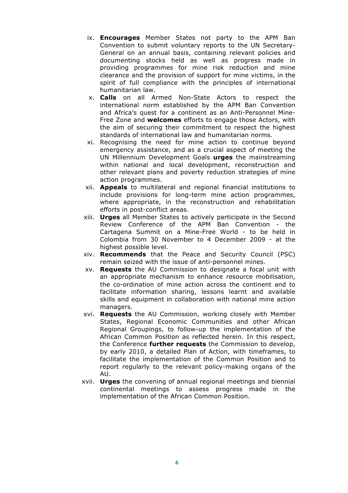- ix. **Encourages** Member States not party to the APM Ban Convention to submit voluntary reports to the UN Secretary-General on an annual basis, containing relevant policies and documenting stocks held as well as progress made in providing programmes for mine risk reduction and mine clearance and the provision of support for mine victims, in the spirit of full compliance with the principles of international humanitarian law.
- x. **Calls** on all Armed Non-State Actors to respect the international norm established by the APM Ban Convention and Africa's quest for a continent as an Anti-Personnel Mine-Free Zone and **welcomes** efforts to engage those Actors, with the aim of securing their commitment to respect the highest standards of international law and humanitarian norms.
- xi. Recognising the need for mine action to continue beyond emergency assistance, and as a crucial aspect of meeting the UN Millennium Development Goals **urges** the mainstreaming within national and local development, reconstruction and other relevant plans and poverty reduction strategies of mine action programmes.
- xii. **Appeals** to multilateral and regional financial institutions to include provisions for long-term mine action programmes, where appropriate, in the reconstruction and rehabilitation efforts in post-conflict areas.
- xiii. **Urges** all Member States to actively participate in the Second Review Conference of the APM Ban Convention - the Cartagena Summit on a Mine-Free World - to be held in Colombia from 30 November to 4 December 2009 - at the highest possible level.
- xiv. **Recommends** that the Peace and Security Council (PSC) remain seized with the issue of anti-personnel mines.
- xv. **Requests** the AU Commission to designate a focal unit with an appropriate mechanism to enhance resource mobilisation, the co-ordination of mine action across the continent and to facilitate information sharing, lessons learnt and available skills and equipment in collaboration with national mine action managers.
- xvi. **Requests** the AU Commission, working closely with Member States, Regional Economic Communities and other African Regional Groupings, to follow-up the implementation of the African Common Position as reflected herein. In this respect, the Conference **further requests** the Commission to develop, by early 2010, a detailed Plan of Action, with timeframes, to facilitate the implementation of the Common Position and to report regularly to the relevant policy-making organs of the AU.
- xvii. **Urges** the convening of annual regional meetings and biennial continental meetings to assess progress made in the implementation of the African Common Position.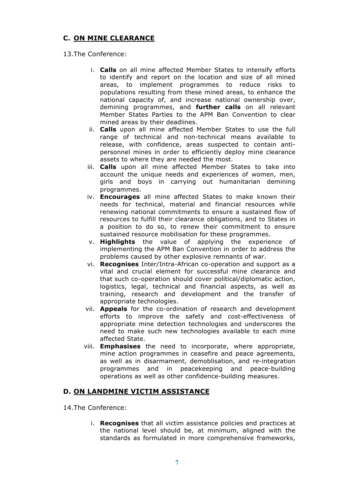#### **C. ON MINE CLEARANCE**

#### 13.The Conference:

- i. **Calls** on all mine affected Member States to intensify efforts to identify and report on the location and size of all mined areas, to implement programmes to reduce risks to populations resulting from these mined areas, to enhance the national capacity of, and increase national ownership over, demining programmes, and **further calls** on all relevant Member States Parties to the APM Ban Convention to clear mined areas by their deadlines.
- ii. **Calls** upon all mine affected Member States to use the full range of technical and non-technical means available to release, with confidence, areas suspected to contain antipersonnel mines in order to efficiently deploy mine clearance assets to where they are needed the most.
- iii. **Calls** upon all mine affected Member States to take into account the unique needs and experiences of women, men, girls and boys in carrying out humanitarian demining programmes.
- iv. **Encourages** all mine affected States to make known their needs for technical, material and financial resources while renewing national commitments to ensure a sustained flow of resources to fulfill their clearance obligations, and to States in a position to do so, to renew their commitment to ensure sustained resource mobilisation for these programmes.
- v. **Highlights** the value of applying the experience of implementing the APM Ban Convention in order to address the problems caused by other explosive remnants of war.
- vi. **Recognises** Inter/Intra-African co-operation and support as a vital and crucial element for successful mine clearance and that such co-operation should cover political/diplomatic action, logistics, legal, technical and financial aspects, as well as training, research and development and the transfer of appropriate technologies.
- vii. **Appeals** for the co-ordination of research and development efforts to improve the safety and cost-effectiveness of appropriate mine detection technologies and underscores the need to make such new technologies available to each mine affected State.
- viii. **Emphasises** the need to incorporate, where appropriate, mine action programmes in ceasefire and peace agreements, as well as in disarmament, demoblisation, and re-integration programmes and in peacekeeping and peace-building operations as well as other confidence-building measures.

#### **D. ON LANDMINE VICTIM ASSISTANCE**

14.The Conference:

i. **Recognises** that all victim assistance policies and practices at the national level should be, at minimum, aligned with the standards as formulated in more comprehensive frameworks,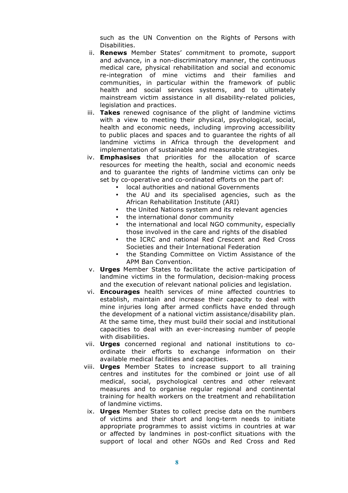such as the UN Convention on the Rights of Persons with Disabilities.

- ii. **Renews** Member States' commitment to promote, support and advance, in a non-discriminatory manner, the continuous medical care, physical rehabilitation and social and economic re-integration of mine victims and their families and communities, in particular within the framework of public health and social services systems, and to ultimately mainstream victim assistance in all disability-related policies, legislation and practices.
- iii. **Takes** renewed cognisance of the plight of landmine victims with a view to meeting their physical, psychological, social, health and economic needs, including improving accessibility to public places and spaces and to guarantee the rights of all landmine victims in Africa through the development and implementation of sustainable and measurable strategies.
- iv. **Emphasises** that priorities for the allocation of scarce resources for meeting the health, social and economic needs and to guarantee the rights of landmine victims can only be set by co-operative and co-ordinated efforts on the part of:
	- local authorities and national Governments
	- the AU and its specialised agencies, such as the African Rehabilitation Institute (ARI)
	- the United Nations system and its relevant agencies
	- the international donor community
	- the international and local NGO community, especially those involved in the care and rights of the disabled
	- the ICRC and national Red Crescent and Red Cross Societies and their International Federation
	- the Standing Committee on Victim Assistance of the APM Ban Convention.
- v. **Urges** Member States to facilitate the active participation of landmine victims in the formulation, decision-making process and the execution of relevant national policies and legislation.
- vi. **Encourages** health services of mine affected countries to establish, maintain and increase their capacity to deal with mine injuries long after armed conflicts have ended through the development of a national victim assistance/disability plan. At the same time, they must build their social and institutional capacities to deal with an ever-increasing number of people with disabilities.
- vii. **Urges** concerned regional and national institutions to coordinate their efforts to exchange information on their available medical facilities and capacities.
- viii. **Urges** Member States to increase support to all training centres and institutes for the combined or joint use of all medical, social, psychological centres and other relevant measures and to organise regular regional and continental training for health workers on the treatment and rehabilitation of landmine victims.
- ix. **Urges** Member States to collect precise data on the numbers of victims and their short and long-term needs to initiate appropriate programmes to assist victims in countries at war or affected by landmines in post-conflict situations with the support of local and other NGOs and Red Cross and Red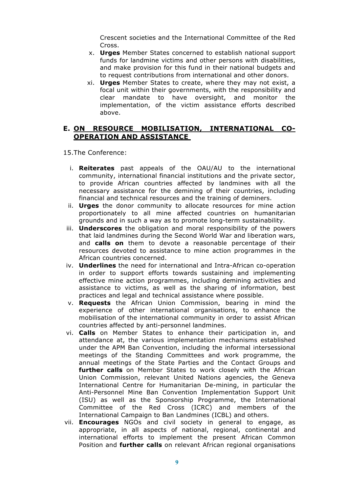Crescent societies and the International Committee of the Red Cross.

- x. **Urges** Member States concerned to establish national support funds for landmine victims and other persons with disabilities, and make provision for this fund in their national budgets and to request contributions from international and other donors.
- xi. **Urges** Member States to create, where they may not exist, a focal unit within their governments, with the responsibility and clear mandate to have oversight, and monitor the implementation, of the victim assistance efforts described above.

#### **E. ON RESOURCE MOBILISATION, INTERNATIONAL CO-OPERATION AND ASSISTANCE**

15.The Conference:

- i. **Reiterates** past appeals of the OAU/AU to the international community, international financial institutions and the private sector, to provide African countries affected by landmines with all the necessary assistance for the demining of their countries, including financial and technical resources and the training of deminers.
- ii. **Urges** the donor community to allocate resources for mine action proportionately to all mine affected countries on humanitarian grounds and in such a way as to promote long-term sustainability.
- iii. **Underscores** the obligation and moral responsibility of the powers that laid landmines during the Second World War and liberation wars, and **calls on** them to devote a reasonable percentage of their resources devoted to assistance to mine action programmes in the African countries concerned.
- iv. **Underlines** the need for international and Intra-African co-operation in order to support efforts towards sustaining and implementing effective mine action programmes, including demining activities and assistance to victims, as well as the sharing of information, best practices and legal and technical assistance where possible.
- v. **Requests** the African Union Commission, bearing in mind the experience of other international organisations, to enhance the mobilisation of the international community in order to assist African countries affected by anti-personnel landmines.
- vi. **Calls** on Member States to enhance their participation in, and attendance at, the various implementation mechanisms established under the APM Ban Convention, including the informal intersessional meetings of the Standing Committees and work programme, the annual meetings of the State Parties and the Contact Groups and **further calls** on Member States to work closely with the African Union Commission, relevant United Nations agencies, the Geneva International Centre for Humanitarian De-mining, in particular the Anti-Personnel Mine Ban Convention Implementation Support Unit (ISU) as well as the Sponsorship Programme, the International Committee of the Red Cross (ICRC) and members of the International Campaign to Ban Landmines (ICBL) and others.
- vii. **Encourages** NGOs and civil society in general to engage, as appropriate, in all aspects of national, regional, continental and international efforts to implement the present African Common Position and **further calls** on relevant African regional organisations